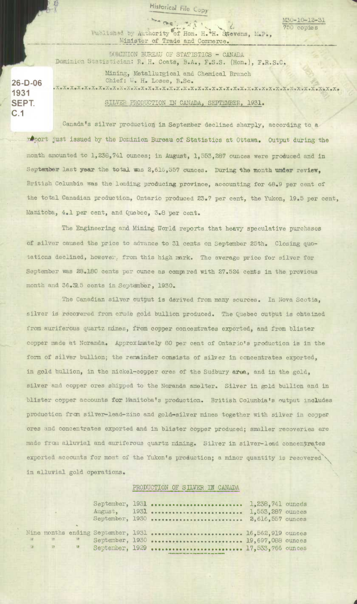**Historical File Copy** 

 $\frac{\text{M30-10-12-31}}{750 \text{ copies}}$ Published by Authority of Hon. H.<sup>2</sup>H. Stevens, M.P., Minister of Trade and Commerce.

*\* uNION BUBAU OF STM'ISTICS - CANADA* 

750 copies

Dominion Statistician: R. H. Coats, B.A., F.S.S. (Hon.), F.R.S.C. Mining, Metallurgical and Chemical Branch Chief: W. H. Losee, B.Sc. **.x.x.x.x.x.x.x.xex.x.x.x.x.x.x.x.x.x.x.x.x.x.x.x.xex.x.x.x.x.x.x.x.x.x.x.x.x.x.x.** 

SILVER PRODUCTION IN CANADA, SEPTEMBER, 1931.

Canada's silver production in September declined sharply, according to a roport just issued by the Dominion Bureau of Statistics at Ottawa. Output during the month amounted. to 1,238,741 ounces; in August, 1,553,287 ounces were produced and in September last year the total was 2,616,557 ounces. During the month under review, British Columbia was the leading producing province, accounting for 48.9 per cent of the total Canadian production, Ontario produced 23.7 per cent, the Yukon, 19.5 per cent, Manitoba, 4,1 per cent, and Quebec, 3.6 per cent.

The Engineering and Mining World reports that heavy speculative purchases of silver caused the price to advance to 31 cents on September 25th. Closing quotations declined, however, from this high mark. The average price for silver for September was 28.180 cents per ounce as comra red with 27.524 cents in the previous month and 36.15 cents in Septámber, 1930.

The Canadian silver output is derived from many sources. In Nova Scotia, silver is recovered from crude gold bullion produced. The Quebec output is obtained from auriferous quartz mines, *from* copper concentrates exported, and from blister copper made at Noranda. Approximately 80 per cent of Ontario's production is in the form of silver bullion; the remainder consists of silver in concentrates exported, in gold bullion, in the nickel-copper ores of the Sudbury area, and in the gold, silver and copper ores shipped to the Noranda smelter. Silver in gold bullion and in blister copper accounts for Manitoba's production. British Columbia's output includes production from silver-lead-zinc and gold-silver mines together with silver in copper ores and concentrates exported and in blister copper produced; smaller recoveries are made from alluvial and auriferous quartz mining. Silver in silver-lead concentrates exported accounts for most of the Yukon's production; a minor quantity is recovered in alluvial gold operations.

PRODUCTION OF SILVER IN CANADA

|  |  | August, 1931  1,553,287 ounces<br>September, 1930  2,616,557 ounces                                                                       |  |
|--|--|-------------------------------------------------------------------------------------------------------------------------------------------|--|
|  |  | Nine months ending September, 1931  16,562,919 ounces<br>" " September, 1930  19,697,088 ounces<br>" " September, 1929  17,533,766 ounces |  |

**26-0-06 1931 SEPT. c.1**